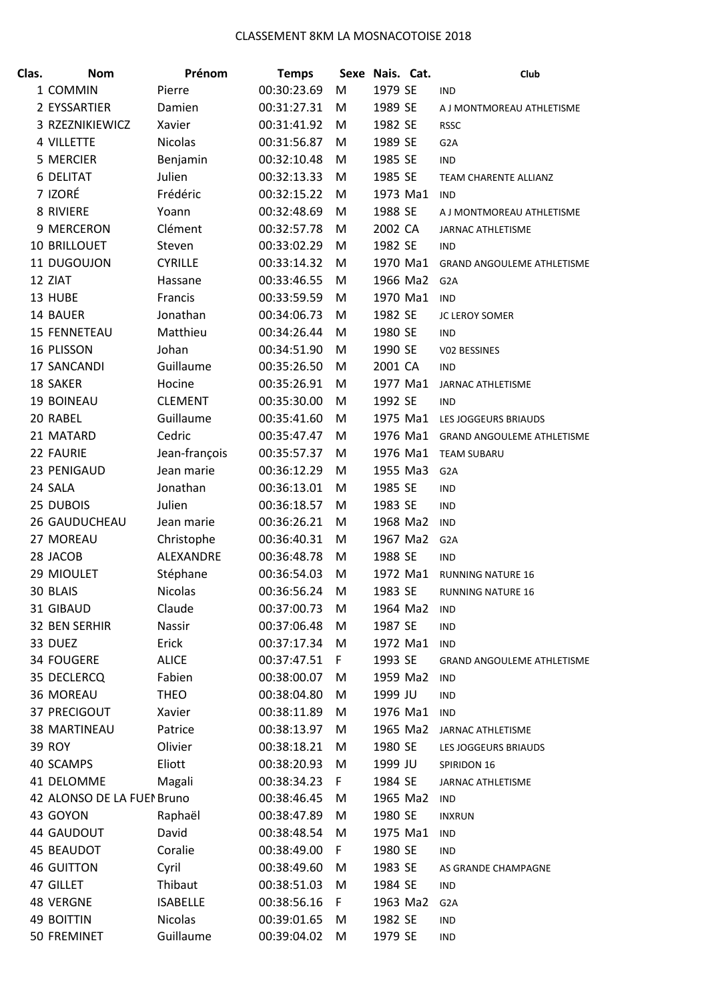| Clas. | <b>Nom</b>                 | Prénom                      | <b>Temps</b> |    | Sexe Nais. Cat. | Club                              |
|-------|----------------------------|-----------------------------|--------------|----|-----------------|-----------------------------------|
|       | 1 COMMIN                   | Pierre                      | 00:30:23.69  | M  | 1979 SE         | <b>IND</b>                        |
|       | 2 EYSSARTIER               | Damien                      | 00:31:27.31  | M  | 1989 SE         | A J MONTMOREAU ATHLETISME         |
|       | 3 RZEZNIKIEWICZ            | Xavier                      | 00:31:41.92  | M  | 1982 SE         | <b>RSSC</b>                       |
|       | 4 VILLETTE                 | <b>Nicolas</b>              | 00:31:56.87  | M  | 1989 SE         | G <sub>2</sub> A                  |
|       | 5 MERCIER                  | Benjamin                    | 00:32:10.48  | M  | 1985 SE         | <b>IND</b>                        |
|       | <b>6 DELITAT</b>           | Julien                      | 00:32:13.33  | M  | 1985 SE         | TEAM CHARENTE ALLIANZ             |
|       | 7 IZORÉ                    | Frédéric                    | 00:32:15.22  | M  | 1973 Ma1        | <b>IND</b>                        |
|       | 8 RIVIERE                  | Yoann                       | 00:32:48.69  | M  | 1988 SE         | A J MONTMOREAU ATHLETISME         |
|       | 9 MERCERON                 | Clément                     | 00:32:57.78  | M  | 2002 CA         | JARNAC ATHLETISME                 |
|       | <b>10 BRILLOUET</b>        | Steven                      | 00:33:02.29  | M  | 1982 SE         | <b>IND</b>                        |
|       | 11 DUGOUJON                | <b>CYRILLE</b>              | 00:33:14.32  | M  | 1970 Ma1        | <b>GRAND ANGOULEME ATHLETISME</b> |
|       | 12 ZIAT                    | Hassane                     | 00:33:46.55  | M  | 1966 Ma2        | G <sub>2</sub> A                  |
|       | 13 HUBE                    | Francis                     | 00:33:59.59  | M  | 1970 Ma1        | <b>IND</b>                        |
|       | 14 BAUER                   | Jonathan                    | 00:34:06.73  | M  | 1982 SE         | JC LEROY SOMER                    |
|       | <b>15 FENNETEAU</b>        | Matthieu                    | 00:34:26.44  | M  | 1980 SE         | <b>IND</b>                        |
|       | 16 PLISSON                 | Johan                       | 00:34:51.90  | M  | 1990 SE         | V02 BESSINES                      |
|       | 17 SANCANDI                | Guillaume                   | 00:35:26.50  | M  | 2001 CA         | <b>IND</b>                        |
|       | 18 SAKER                   | Hocine                      | 00:35:26.91  | M  | 1977 Ma1        | <b>JARNAC ATHLETISME</b>          |
|       | <b>19 BOINEAU</b>          | <b>CLEMENT</b>              | 00:35:30.00  | M  | 1992 SE         | <b>IND</b>                        |
|       | 20 RABEL                   | Guillaume                   | 00:35:41.60  | M  | 1975 Ma1        | LES JOGGEURS BRIAUDS              |
|       | 21 MATARD                  | Cedric                      | 00:35:47.47  | M  | 1976 Ma1        | <b>GRAND ANGOULEME ATHLETISME</b> |
|       | 22 FAURIE                  | Jean-françois               | 00:35:57.37  | M  | 1976 Ma1        | <b>TEAM SUBARU</b>                |
|       | 23 PENIGAUD                | Jean marie                  | 00:36:12.29  | M  | 1955 Ma3        | G <sub>2</sub> A                  |
|       | 24 SALA                    | Jonathan                    | 00:36:13.01  | M  | 1985 SE         | IND                               |
|       | 25 DUBOIS                  | Julien                      | 00:36:18.57  | M  | 1983 SE         | <b>IND</b>                        |
|       | <b>26 GAUDUCHEAU</b>       | Jean marie                  | 00:36:26.21  | M  | 1968 Ma2        | <b>IND</b>                        |
|       | 27 MOREAU                  | Christophe                  | 00:36:40.31  | M  | 1967 Ma2        | G <sub>2</sub> A                  |
|       | 28 JACOB                   | ALEXANDRE                   | 00:36:48.78  | M  | 1988 SE         | <b>IND</b>                        |
|       | 29 MIOULET                 | Stéphane                    | 00:36:54.03  | M  | 1972 Ma1        | <b>RUNNING NATURE 16</b>          |
|       | 30 BLAIS                   | <b>Nicolas</b>              | 00:36:56.24  | M  | 1983 SE         | <b>RUNNING NATURE 16</b>          |
|       | 31 GIBAUD                  | Claude                      | 00:37:00.73  | M  | 1964 Ma2        | <b>IND</b>                        |
|       | 32 BEN SERHIR              | Nassir                      | 00:37:06.48  | M  | 1987 SE         | <b>IND</b>                        |
|       | 33 DUEZ                    | Erick                       | 00:37:17.34  | M  | 1972 Ma1        | <b>IND</b>                        |
|       | <b>34 FOUGERE</b>          | <b>ALICE</b>                | 00:37:47.51  | F. | 1993 SE         | <b>GRAND ANGOULEME ATHLETISME</b> |
|       | 35 DECLERCQ                | Fabien                      | 00:38:00.07  | M  | 1959 Ma2        | <b>IND</b>                        |
|       | 36 MOREAU                  | <b>THEO</b>                 | 00:38:04.80  | M  | 1999 JU         | <b>IND</b>                        |
|       | 37 PRECIGOUT               | Xavier                      | 00:38:11.89  | M  | 1976 Ma1        | <b>IND</b>                        |
|       | <b>38 MARTINEAU</b>        | Patrice                     | 00:38:13.97  | M  | 1965 Ma2        | JARNAC ATHLETISME                 |
|       | <b>39 ROY</b>              | Olivier                     | 00:38:18.21  | M  | 1980 SE         | LES JOGGEURS BRIAUDS              |
|       | 40 SCAMPS                  | Eliott                      | 00:38:20.93  | M  | 1999 JU         | SPIRIDON 16                       |
|       | 41 DELOMME                 | Magali                      | 00:38:34.23  | F. | 1984 SE         | JARNAC ATHLETISME                 |
|       | 42 ALONSO DE LA FUEI Bruno |                             | 00:38:46.45  | M  | 1965 Ma2        | <b>IND</b>                        |
|       | 43 GOYON                   | Raphaël                     | 00:38:47.89  | M  | 1980 SE         | <b>INXRUN</b>                     |
|       | 44 GAUDOUT                 | David                       | 00:38:48.54  | M  | 1975 Ma1        | <b>IND</b>                        |
|       | <b>45 BEAUDOT</b>          | Coralie                     | 00:38:49.00  | F. | 1980 SE         | <b>IND</b>                        |
|       | <b>46 GUITTON</b>          | Cyril                       | 00:38:49.60  | M  | 1983 SE         | AS GRANDE CHAMPAGNE               |
|       | 47 GILLET                  | Thibaut                     | 00:38:51.03  | M  | 1984 SE         | <b>IND</b>                        |
|       | <b>48 VERGNE</b>           | <b>ISABELLE</b>             | 00:38:56.16  | F. | 1963 Ma2        | G <sub>2</sub> A                  |
|       | 49 BOITTIN                 | <b>Nicolas</b><br>Guillaume | 00:39:01.65  | M  | 1982 SE         | <b>IND</b>                        |
|       | 50 FREMINET                |                             | 00:39:04.02  | M  | 1979 SE         | <b>IND</b>                        |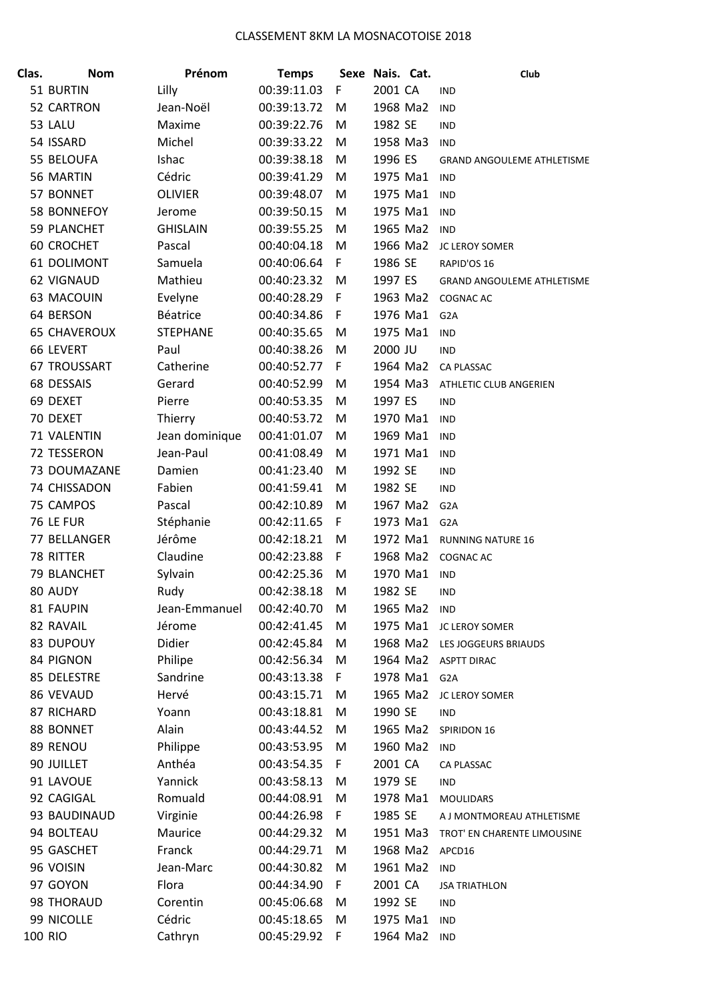| Clas.   | <b>Nom</b>          | Prénom          | <b>Temps</b> |    | Sexe Nais. Cat. | Club                        |
|---------|---------------------|-----------------|--------------|----|-----------------|-----------------------------|
|         | 51 BURTIN           | Lilly           | 00:39:11.03  | F  | 2001 CA         | <b>IND</b>                  |
|         | 52 CARTRON          | Jean-Noël       | 00:39:13.72  | M  | 1968 Ma2        | <b>IND</b>                  |
|         | 53 LALU             | Maxime          | 00:39:22.76  | M  | 1982 SE         | <b>IND</b>                  |
|         | 54 ISSARD           | Michel          | 00:39:33.22  | M  | 1958 Ma3        | <b>IND</b>                  |
|         | 55 BELOUFA          | Ishac           | 00:39:38.18  | M  | 1996 ES         | GRAND ANGOULEME ATHLETISME  |
|         | 56 MARTIN           | Cédric          | 00:39:41.29  | M  | 1975 Ma1        | <b>IND</b>                  |
|         | 57 BONNET           | <b>OLIVIER</b>  | 00:39:48.07  | M  | 1975 Ma1        | <b>IND</b>                  |
|         | 58 BONNEFOY         | Jerome          | 00:39:50.15  | M  | 1975 Ma1        | <b>IND</b>                  |
|         | <b>59 PLANCHET</b>  | <b>GHISLAIN</b> | 00:39:55.25  | M  | 1965 Ma2        | <b>IND</b>                  |
|         | <b>60 CROCHET</b>   | Pascal          | 00:40:04.18  | M  | 1966 Ma2        | JC LEROY SOMER              |
|         | 61 DOLIMONT         | Samuela         | 00:40:06.64  | F  | 1986 SE         | RAPID'OS 16                 |
|         | 62 VIGNAUD          | Mathieu         | 00:40:23.32  | M  | 1997 ES         | GRAND ANGOULEME ATHLETISME  |
|         | 63 MACOUIN          | Evelyne         | 00:40:28.29  | F  | 1963 Ma2        | <b>COGNAC AC</b>            |
|         | 64 BERSON           | Béatrice        | 00:40:34.86  | F  | 1976 Ma1        | G <sub>2</sub> A            |
|         | <b>65 CHAVEROUX</b> | <b>STEPHANE</b> | 00:40:35.65  | M  | 1975 Ma1        | <b>IND</b>                  |
|         | 66 LEVERT           | Paul            | 00:40:38.26  | M  | 2000 JU         | <b>IND</b>                  |
|         | <b>67 TROUSSART</b> | Catherine       | 00:40:52.77  | F  | 1964 Ma2        | CA PLASSAC                  |
|         | 68 DESSAIS          | Gerard          | 00:40:52.99  | M  | 1954 Ma3        | ATHLETIC CLUB ANGERIEN      |
|         | 69 DEXET            | Pierre          | 00:40:53.35  | M  | 1997 ES         | <b>IND</b>                  |
|         | 70 DEXET            | Thierry         | 00:40:53.72  | M  | 1970 Ma1        | <b>IND</b>                  |
|         | 71 VALENTIN         | Jean dominique  | 00:41:01.07  | M  | 1969 Ma1        | <b>IND</b>                  |
|         | 72 TESSERON         | Jean-Paul       | 00:41:08.49  | M  | 1971 Ma1        | <b>IND</b>                  |
|         | 73 DOUMAZANE        | Damien          | 00:41:23.40  | M  | 1992 SE         | <b>IND</b>                  |
|         | 74 CHISSADON        | Fabien          | 00:41:59.41  | M  | 1982 SE         | <b>IND</b>                  |
|         | 75 CAMPOS           | Pascal          | 00:42:10.89  | M  | 1967 Ma2        | G <sub>2</sub> A            |
|         | 76 LE FUR           | Stéphanie       | 00:42:11.65  | F  | 1973 Ma1        | G <sub>2</sub> A            |
|         | 77 BELLANGER        | Jérôme          | 00:42:18.21  | M  | 1972 Ma1        | <b>RUNNING NATURE 16</b>    |
|         | 78 RITTER           | Claudine        | 00:42:23.88  | F  | 1968 Ma2        | COGNAC AC                   |
|         | 79 BLANCHET         | Sylvain         | 00:42:25.36  | M  | 1970 Ma1        | <b>IND</b>                  |
|         | 80 AUDY             | Rudy            | 00:42:38.18  | M  | 1982 SE         | IND                         |
|         | 81 FAUPIN           | Jean-Emmanuel   | 00:42:40.70  | M  | 1965 Ma2        | <b>IND</b>                  |
|         | 82 RAVAIL           | Jérome          | 00:42:41.45  | M  | 1975 Ma1        | JC LEROY SOMER              |
|         | 83 DUPOUY           | Didier          | 00:42:45.84  | M  | 1968 Ma2        | LES JOGGEURS BRIAUDS        |
|         | 84 PIGNON           | Philipe         | 00:42:56.34  | M  | 1964 Ma2        | <b>ASPTT DIRAC</b>          |
|         | 85 DELESTRE         | Sandrine        | 00:43:13.38  | F. | 1978 Ma1        | G <sub>2</sub> A            |
|         | 86 VEVAUD           | Hervé           | 00:43:15.71  | M  | 1965 Ma2        | JC LEROY SOMER              |
|         | 87 RICHARD          | Yoann           | 00:43:18.81  | M  | 1990 SE         | <b>IND</b>                  |
|         | 88 BONNET           | Alain           | 00:43:44.52  | M  | 1965 Ma2        | SPIRIDON 16                 |
|         | 89 RENOU            | Philippe        | 00:43:53.95  | M  | 1960 Ma2        | <b>IND</b>                  |
|         | 90 JUILLET          | Anthéa          | 00:43:54.35  | F. | 2001 CA         | CA PLASSAC                  |
|         | 91 LAVOUE           | Yannick         | 00:43:58.13  | M  | 1979 SE         | <b>IND</b>                  |
|         | 92 CAGIGAL          | Romuald         | 00:44:08.91  | M  | 1978 Ma1        | <b>MOULIDARS</b>            |
|         | 93 BAUDINAUD        | Virginie        | 00:44:26.98  | F. | 1985 SE         | A J MONTMOREAU ATHLETISME   |
|         | 94 BOLTEAU          | Maurice         | 00:44:29.32  | M  | 1951 Ma3        | TROT' EN CHARENTE LIMOUSINE |
|         | 95 GASCHET          | Franck          | 00:44:29.71  | M  | 1968 Ma2        | APCD16                      |
|         | 96 VOISIN           | Jean-Marc       | 00:44:30.82  | M  | 1961 Ma2        | <b>IND</b>                  |
|         | 97 GOYON            | Flora           | 00:44:34.90  | F. | 2001 CA         | <b>JSA TRIATHLON</b>        |
|         | 98 THORAUD          | Corentin        | 00:45:06.68  | M  | 1992 SE         | IND                         |
|         | 99 NICOLLE          | Cédric          | 00:45:18.65  | M  | 1975 Ma1        | <b>IND</b>                  |
| 100 RIO |                     | Cathryn         | 00:45:29.92  | F  | 1964 Ma2        | <b>IND</b>                  |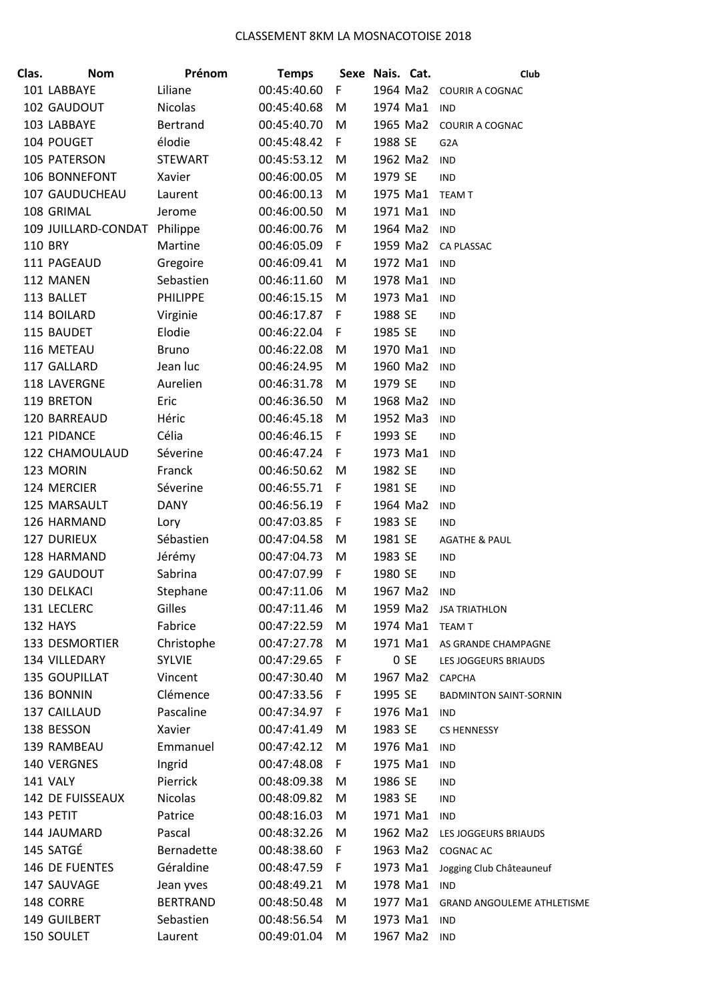| Clas. | <b>Nom</b>                   | Prénom          | <b>Temps</b> |             | Sexe Nais. Cat. |          | Club                              |
|-------|------------------------------|-----------------|--------------|-------------|-----------------|----------|-----------------------------------|
|       | 101 LABBAYE                  | Liliane         | 00:45:40.60  | F           |                 |          | 1964 Ma2 COURIR A COGNAC          |
|       | 102 GAUDOUT                  | <b>Nicolas</b>  | 00:45:40.68  | M           | 1974 Ma1        |          | <b>IND</b>                        |
|       | 103 LABBAYE                  | Bertrand        | 00:45:40.70  | M           | 1965 Ma2        |          | <b>COURIR A COGNAC</b>            |
|       | 104 POUGET                   | élodie          | 00:45:48.42  | $\mathsf F$ | 1988 SE         |          | G <sub>2</sub> A                  |
|       | 105 PATERSON                 | <b>STEWART</b>  | 00:45:53.12  | M           | 1962 Ma2        |          | <b>IND</b>                        |
|       | 106 BONNEFONT                | Xavier          | 00:46:00.05  | M           | 1979 SE         |          | <b>IND</b>                        |
|       | 107 GAUDUCHEAU               | Laurent         | 00:46:00.13  | M           | 1975 Ma1        |          | <b>TEAM T</b>                     |
|       | 108 GRIMAL                   | Jerome          | 00:46:00.50  | M           | 1971 Ma1        |          | <b>IND</b>                        |
|       | 109 JUILLARD-CONDAT Philippe |                 | 00:46:00.76  | M           | 1964 Ma2        |          | <b>IND</b>                        |
|       | <b>110 BRY</b>               | Martine         | 00:46:05.09  | F.          | 1959 Ma2        |          | CA PLASSAC                        |
|       | 111 PAGEAUD                  | Gregoire        | 00:46:09.41  | M           | 1972 Ma1        |          | <b>IND</b>                        |
|       | 112 MANEN                    | Sebastien       | 00:46:11.60  | M           | 1978 Ma1        |          | <b>IND</b>                        |
|       | 113 BALLET                   | <b>PHILIPPE</b> | 00:46:15.15  | M           | 1973 Ma1        |          | <b>IND</b>                        |
|       | 114 BOILARD                  | Virginie        | 00:46:17.87  | F           | 1988 SE         |          | <b>IND</b>                        |
|       | 115 BAUDET                   | Elodie          | 00:46:22.04  | F           | 1985 SE         |          | <b>IND</b>                        |
|       | 116 METEAU                   | <b>Bruno</b>    | 00:46:22.08  | M           | 1970 Ma1        |          | <b>IND</b>                        |
|       | 117 GALLARD                  | Jean luc        | 00:46:24.95  | M           | 1960 Ma2        |          | <b>IND</b>                        |
|       | 118 LAVERGNE                 | Aurelien        | 00:46:31.78  | M           | 1979 SE         |          | <b>IND</b>                        |
|       | 119 BRETON                   | Eric            | 00:46:36.50  | M           | 1968 Ma2        |          | <b>IND</b>                        |
|       | 120 BARREAUD                 | Héric           | 00:46:45.18  | M           | 1952 Ma3        |          | <b>IND</b>                        |
|       | 121 PIDANCE                  | Célia           | 00:46:46.15  | F.          | 1993 SE         |          | <b>IND</b>                        |
|       | 122 CHAMOULAUD               | Séverine        | 00:46:47.24  | F           | 1973 Ma1        |          | <b>IND</b>                        |
|       | 123 MORIN                    | Franck          | 00:46:50.62  | M           | 1982 SE         |          | <b>IND</b>                        |
|       | 124 MERCIER                  | Séverine        | 00:46:55.71  | F           | 1981 SE         |          | <b>IND</b>                        |
|       | 125 MARSAULT                 | <b>DANY</b>     | 00:46:56.19  | F           | 1964 Ma2        |          | <b>IND</b>                        |
|       | 126 HARMAND                  | Lory            | 00:47:03.85  | F           | 1983 SE         |          | <b>IND</b>                        |
|       | <b>127 DURIEUX</b>           | Sébastien       | 00:47:04.58  | M           | 1981 SE         |          | <b>AGATHE &amp; PAUL</b>          |
|       | 128 HARMAND                  | Jérémy          | 00:47:04.73  | ${\sf M}$   | 1983 SE         |          | <b>IND</b>                        |
|       | 129 GAUDOUT                  | Sabrina         | 00:47:07.99  | F           | 1980 SE         |          | <b>IND</b>                        |
|       | 130 DELKACI                  | Stephane        | 00:47:11.06  | M           | 1967 Ma2        |          | <b>IND</b>                        |
|       | 131 LECLERC                  | Gilles          | 00:47:11.46  | M           | 1959 Ma2        |          | <b>JSA TRIATHLON</b>              |
|       | 132 HAYS                     | Fabrice         | 00:47:22.59  | M           | 1974 Ma1        |          | <b>TEAM T</b>                     |
|       | 133 DESMORTIER               | Christophe      | 00:47:27.78  | M           |                 |          | 1971 Ma1 AS GRANDE CHAMPAGNE      |
|       | 134 VILLEDARY                | <b>SYLVIE</b>   | 00:47:29.65  | F           |                 | 0 SE     | LES JOGGEURS BRIAUDS              |
|       | 135 GOUPILLAT                | Vincent         | 00:47:30.40  | M           |                 | 1967 Ma2 | <b>CAPCHA</b>                     |
|       | 136 BONNIN                   | Clémence        | 00:47:33.56  | F           | 1995 SE         |          | <b>BADMINTON SAINT-SORNIN</b>     |
|       | 137 CAILLAUD                 | Pascaline       | 00:47:34.97  | F           |                 | 1976 Ma1 | <b>IND</b>                        |
|       | 138 BESSON                   | Xavier          | 00:47:41.49  | M           | 1983 SE         |          | <b>CS HENNESSY</b>                |
|       | 139 RAMBEAU                  | Emmanuel        | 00:47:42.12  | M           | 1976 Ma1        |          | <b>IND</b>                        |
|       | 140 VERGNES                  | Ingrid          | 00:47:48.08  | F.          | 1975 Ma1        |          | <b>IND</b>                        |
|       | 141 VALY                     | Pierrick        | 00:48:09.38  | M           | 1986 SE         |          | <b>IND</b>                        |
|       | 142 DE FUISSEAUX             | <b>Nicolas</b>  | 00:48:09.82  | M           | 1983 SE         |          | <b>IND</b>                        |
|       | 143 PETIT                    | Patrice         | 00:48:16.03  | M           | 1971 Ma1        |          | <b>IND</b>                        |
|       | 144 JAUMARD                  | Pascal          | 00:48:32.26  | M           | 1962 Ma2        |          | LES JOGGEURS BRIAUDS              |
|       | 145 SATGÉ                    | Bernadette      | 00:48:38.60  | F           | 1963 Ma2        |          | <b>COGNAC AC</b>                  |
|       | 146 DE FUENTES               | Géraldine       | 00:48:47.59  | F.          | 1973 Ma1        |          | Jogging Club Châteauneuf          |
|       | 147 SAUVAGE                  | Jean yves       | 00:48:49.21  | M           | 1978 Ma1        |          | <b>IND</b>                        |
|       | 148 CORRE                    | <b>BERTRAND</b> | 00:48:50.48  | M           | 1977 Ma1        |          | <b>GRAND ANGOULEME ATHLETISME</b> |
|       | 149 GUILBERT                 | Sebastien       | 00:48:56.54  | M           | 1973 Ma1        |          | <b>IND</b>                        |
|       | 150 SOULET                   | Laurent         | 00:49:01.04  | M           | 1967 Ma2        |          | <b>IND</b>                        |
|       |                              |                 |              |             |                 |          |                                   |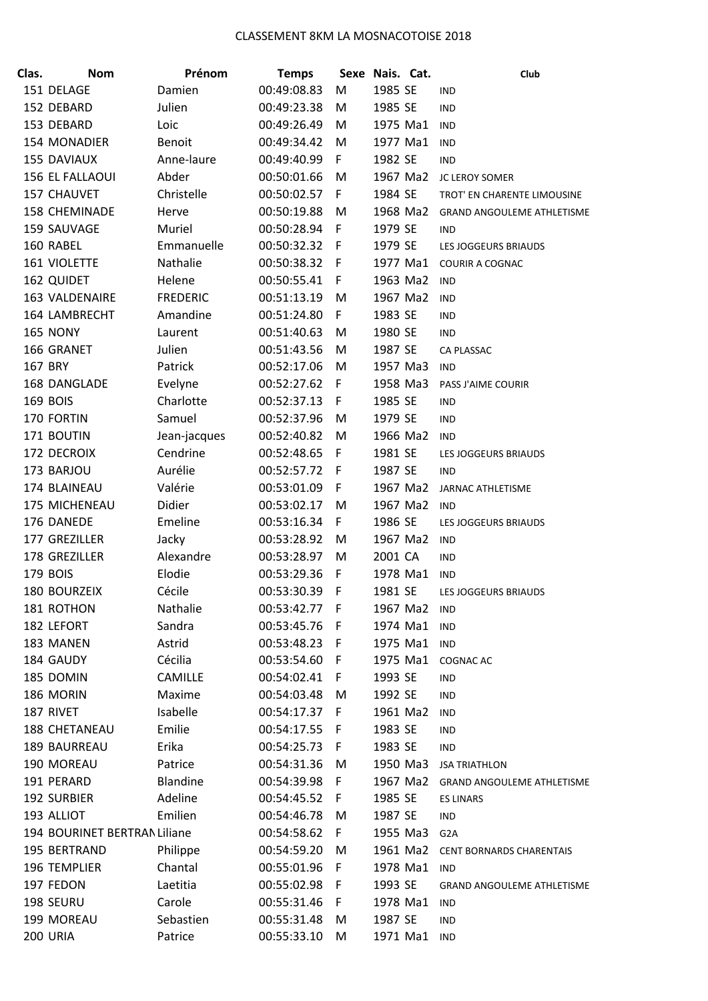| Clas. | <b>Nom</b>                   | Prénom          | <b>Temps</b> |     | Sexe Nais. Cat. |          | Club                              |
|-------|------------------------------|-----------------|--------------|-----|-----------------|----------|-----------------------------------|
|       | 151 DELAGE                   | Damien          | 00:49:08.83  | M   | 1985 SE         |          | <b>IND</b>                        |
|       | 152 DEBARD                   | Julien          | 00:49:23.38  | M   | 1985 SE         |          | <b>IND</b>                        |
|       | 153 DEBARD                   | Loic            | 00:49:26.49  | M   | 1975 Ma1        |          | <b>IND</b>                        |
|       | 154 MONADIER                 | Benoit          | 00:49:34.42  | M   | 1977 Ma1        |          | <b>IND</b>                        |
|       | <b>155 DAVIAUX</b>           | Anne-laure      | 00:49:40.99  | F.  | 1982 SE         |          | <b>IND</b>                        |
|       | 156 EL FALLAOUI              | Abder           | 00:50:01.66  | M   | 1967 Ma2        |          | JC LEROY SOMER                    |
|       | 157 CHAUVET                  | Christelle      | 00:50:02.57  | F   | 1984 SE         |          | TROT' EN CHARENTE LIMOUSINE       |
|       | 158 CHEMINADE                | Herve           | 00:50:19.88  | M   | 1968 Ma2        |          | GRAND ANGOULEME ATHLETISME        |
|       | 159 SAUVAGE                  | Muriel          | 00:50:28.94  | F   | 1979 SE         |          | <b>IND</b>                        |
|       | 160 RABEL                    | Emmanuelle      | 00:50:32.32  | F   | 1979 SE         |          | LES JOGGEURS BRIAUDS              |
|       | 161 VIOLETTE                 | Nathalie        | 00:50:38.32  | -F  | 1977 Ma1        |          | <b>COURIR A COGNAC</b>            |
|       | 162 QUIDET                   | Helene          | 00:50:55.41  | F   | 1963 Ma2        |          | <b>IND</b>                        |
|       | 163 VALDENAIRE               | <b>FREDERIC</b> | 00:51:13.19  | M   | 1967 Ma2        |          | <b>IND</b>                        |
|       | 164 LAMBRECHT                | Amandine        | 00:51:24.80  | F   | 1983 SE         |          | <b>IND</b>                        |
|       | <b>165 NONY</b>              | Laurent         | 00:51:40.63  | M   | 1980 SE         |          | <b>IND</b>                        |
|       | 166 GRANET                   | Julien          | 00:51:43.56  | M   | 1987 SE         |          | CA PLASSAC                        |
|       | 167 BRY                      | Patrick         | 00:52:17.06  | M   | 1957 Ma3        |          | <b>IND</b>                        |
|       | 168 DANGLADE                 | Evelyne         | 00:52:27.62  | F   | 1958 Ma3        |          | PASS J'AIME COURIR                |
|       | <b>169 BOIS</b>              | Charlotte       | 00:52:37.13  | F   | 1985 SE         |          | <b>IND</b>                        |
|       | 170 FORTIN                   | Samuel          | 00:52:37.96  | M   | 1979 SE         |          | <b>IND</b>                        |
|       | 171 BOUTIN                   | Jean-jacques    | 00:52:40.82  | M   | 1966 Ma2        |          | <b>IND</b>                        |
|       | 172 DECROIX                  | Cendrine        | 00:52:48.65  | F   | 1981 SE         |          | LES JOGGEURS BRIAUDS              |
|       | 173 BARJOU                   | Aurélie         | 00:52:57.72  | F   | 1987 SE         |          | <b>IND</b>                        |
|       | 174 BLAINEAU                 | Valérie         | 00:53:01.09  | F   | 1967 Ma2        |          | JARNAC ATHLETISME                 |
|       | 175 MICHENEAU                | Didier          | 00:53:02.17  | M   | 1967 Ma2        |          | <b>IND</b>                        |
|       | 176 DANEDE                   | Emeline         | 00:53:16.34  | F   | 1986 SE         |          | LES JOGGEURS BRIAUDS              |
|       | 177 GREZILLER                | Jacky           | 00:53:28.92  | M   | 1967 Ma2        |          | <b>IND</b>                        |
|       | 178 GREZILLER                | Alexandre       | 00:53:28.97  | M   | 2001 CA         |          | <b>IND</b>                        |
|       | 179 BOIS                     | Elodie          | 00:53:29.36  | F   | 1978 Ma1        |          | <b>IND</b>                        |
|       | 180 BOURZEIX                 | Cécile          | 00:53:30.39  | F   | 1981 SE         |          | LES JOGGEURS BRIAUDS              |
|       | 181 ROTHON                   | Nathalie        | 00:53:42.77  | - F | 1967 Ma2        |          | <b>IND</b>                        |
|       | 182 LEFORT                   | Sandra          | 00:53:45.76  | F   | 1974 Ma1        |          | <b>IND</b>                        |
|       | 183 MANEN                    | Astrid          | 00:53:48.23  | -F  | 1975 Ma1        |          | <b>IND</b>                        |
|       | 184 GAUDY                    | Cécilia         | 00:53:54.60  | F   | 1975 Ma1        |          | <b>COGNAC AC</b>                  |
|       | 185 DOMIN                    | CAMILLE         | 00:54:02.41  | F   | 1993 SE         |          | <b>IND</b>                        |
|       | 186 MORIN                    | Maxime          | 00:54:03.48  | M   | 1992 SE         |          | IND                               |
|       | 187 RIVET                    | Isabelle        | 00:54:17.37  | F   | 1961 Ma2        |          | <b>IND</b>                        |
|       | <b>188 CHETANEAU</b>         | Emilie          | 00:54:17.55  | F   | 1983 SE         |          | <b>IND</b>                        |
|       | 189 BAURREAU                 | Erika           | 00:54:25.73  | F   | 1983 SE         |          | <b>IND</b>                        |
|       | 190 MOREAU                   | Patrice         | 00:54:31.36  | M   | 1950 Ma3        |          | <b>JSA TRIATHLON</b>              |
|       | 191 PERARD                   | <b>Blandine</b> | 00:54:39.98  | F   |                 | 1967 Ma2 | <b>GRAND ANGOULEME ATHLETISME</b> |
|       | 192 SURBIER                  | Adeline         | 00:54:45.52  | F   | 1985 SE         |          | <b>ES LINARS</b>                  |
|       | 193 ALLIOT                   | Emilien         | 00:54:46.78  | M   | 1987 SE         |          | IND                               |
|       | 194 BOURINET BERTRAN Liliane |                 | 00:54:58.62  | F.  | 1955 Ma3        |          | G <sub>2</sub> A                  |
|       | 195 BERTRAND                 | Philippe        | 00:54:59.20  | M   | 1961 Ma2        |          | CENT BORNARDS CHARENTAIS          |
|       | 196 TEMPLIER                 | Chantal         | 00:55:01.96  | F.  | 1978 Ma1        |          | <b>IND</b>                        |
|       | 197 FEDON                    | Laetitia        | 00:55:02.98  | F   | 1993 SE         |          | <b>GRAND ANGOULEME ATHLETISME</b> |
|       | 198 SEURU                    | Carole          | 00:55:31.46  | F   | 1978 Ma1        |          | <b>IND</b>                        |
|       | 199 MOREAU                   | Sebastien       | 00:55:31.48  | M   | 1987 SE         |          | <b>IND</b>                        |
|       | 200 URIA                     | Patrice         | 00:55:33.10  | M   | 1971 Ma1        |          | <b>IND</b>                        |
|       |                              |                 |              |     |                 |          |                                   |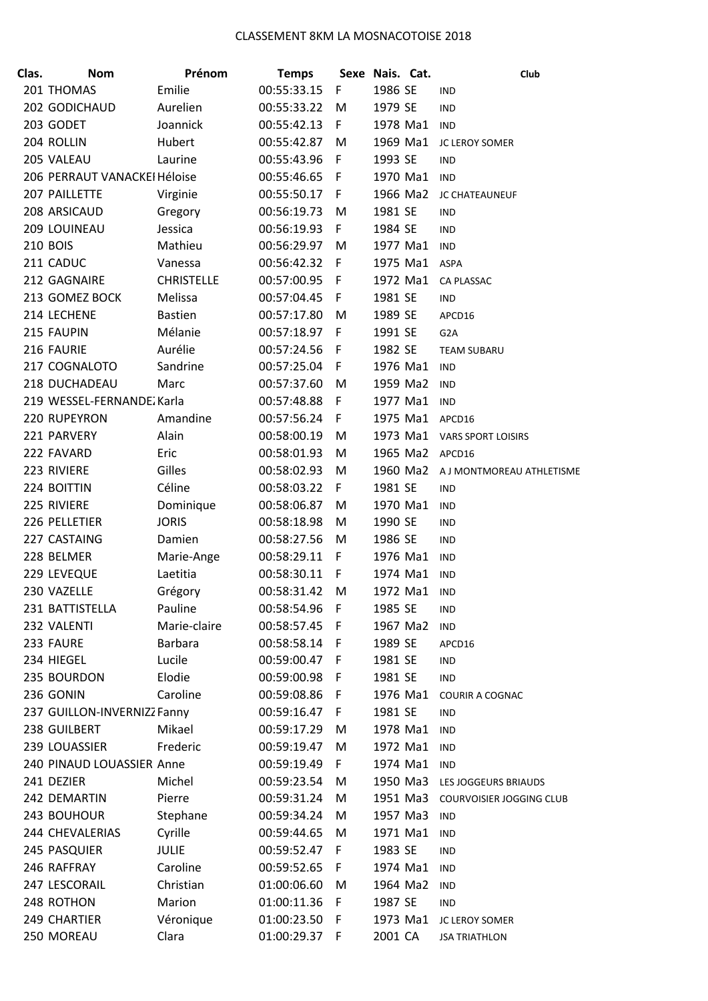| Clas. | <b>Nom</b>                   | Prénom            | <b>Temps</b>  |     | Sexe Nais. Cat. |          | Club                        |
|-------|------------------------------|-------------------|---------------|-----|-----------------|----------|-----------------------------|
|       | 201 THOMAS                   | Emilie            | 00:55:33.15   | F   | 1986 SE         |          | <b>IND</b>                  |
|       | 202 GODICHAUD                | Aurelien          | 00:55:33.22   | M   | 1979 SE         |          | <b>IND</b>                  |
|       | 203 GODET                    | Joannick          | 00:55:42.13   | F   | 1978 Ma1        |          | <b>IND</b>                  |
|       | 204 ROLLIN                   | Hubert            | 00:55:42.87   | M   | 1969 Ma1        |          | <b>JC LEROY SOMER</b>       |
|       | 205 VALEAU                   | Laurine           | 00:55:43.96   | F   | 1993 SE         |          | <b>IND</b>                  |
|       | 206 PERRAUT VANACKEI Héloise |                   | 00:55:46.65 F |     | 1970 Ma1        |          | <b>IND</b>                  |
|       | 207 PAILLETTE                | Virginie          | 00:55:50.17 F |     | 1966 Ma2        |          | JC CHATEAUNEUF              |
|       | 208 ARSICAUD                 | Gregory           | 00:56:19.73   | M   | 1981 SE         |          | <b>IND</b>                  |
|       | 209 LOUINEAU                 | Jessica           | 00:56:19.93   | F   | 1984 SE         |          | <b>IND</b>                  |
|       | <b>210 BOIS</b>              | Mathieu           | 00:56:29.97   | M   | 1977 Ma1        |          | <b>IND</b>                  |
|       | 211 CADUC                    | Vanessa           | 00:56:42.32 F |     | 1975 Ma1        |          | ASPA                        |
|       | 212 GAGNAIRE                 | <b>CHRISTELLE</b> | 00:57:00.95 F |     | 1972 Ma1        |          | <b>CA PLASSAC</b>           |
|       | 213 GOMEZ BOCK               | Melissa           | 00:57:04.45   | F   | 1981 SE         |          | <b>IND</b>                  |
|       | 214 LECHENE                  | <b>Bastien</b>    | 00:57:17.80   | M   | 1989 SE         |          | APCD16                      |
|       | 215 FAUPIN                   | Mélanie           | 00:57:18.97 F |     | 1991 SE         |          | G <sub>2</sub> A            |
|       | 216 FAURIE                   | Aurélie           | 00:57:24.56 F |     | 1982 SE         |          | TEAM SUBARU                 |
|       | 217 COGNALOTO                | Sandrine          | 00:57:25.04   | F   | 1976 Ma1        |          | <b>IND</b>                  |
|       | 218 DUCHADEAU                | Marc              | 00:57:37.60   | M   | 1959 Ma2        |          | <b>IND</b>                  |
|       | 219 WESSEL-FERNANDE Karla    |                   | 00:57:48.88   | F   | 1977 Ma1        |          | <b>IND</b>                  |
|       | 220 RUPEYRON                 | Amandine          | 00:57:56.24   | F   | 1975 Ma1        |          | APCD16                      |
|       | 221 PARVERY                  | Alain             | 00:58:00.19   | M   |                 |          | 1973 Ma1 VARS SPORT LOISIRS |
|       | 222 FAVARD                   | Eric              | 00:58:01.93   | M   | 1965 Ma2        |          | APCD16                      |
|       | 223 RIVIERE                  | Gilles            | 00:58:02.93   | M   | 1960 Ma2        |          | A J MONTMOREAU ATHLETISME   |
|       | 224 BOITTIN                  | Céline            | 00:58:03.22   | F   | 1981 SE         |          | <b>IND</b>                  |
|       | 225 RIVIERE                  | Dominique         | 00:58:06.87   | M   | 1970 Ma1        |          | <b>IND</b>                  |
|       | 226 PELLETIER                | <b>JORIS</b>      | 00:58:18.98   | M   | 1990 SE         |          | <b>IND</b>                  |
|       | 227 CASTAING                 | Damien            | 00:58:27.56   | M   | 1986 SE         |          | <b>IND</b>                  |
|       | 228 BELMER                   | Marie-Ange        | 00:58:29.11   | F   | 1976 Ma1        |          | <b>IND</b>                  |
|       | 229 LEVEQUE                  | Laetitia          | 00:58:30.11   | F   | 1974 Ma1        |          | <b>IND</b>                  |
|       | 230 VAZELLE                  | Grégory           | 00:58:31.42   | M   | 1972 Ma1        |          | <b>IND</b>                  |
|       | 231 BATTISTELLA              | Pauline           | 00:58:54.96   | F   | 1985 SE         |          | <b>IND</b>                  |
|       | 232 VALENTI                  | Marie-claire      | 00:58:57.45 F |     | 1967 Ma2        |          | <b>IND</b>                  |
|       | 233 FAURE                    | Barbara           | 00:58:58.14 F |     | 1989 SE         |          | APCD16                      |
|       | 234 HIEGEL                   | Lucile            | 00:59:00.47 F |     | 1981 SE         |          | <b>IND</b>                  |
|       | 235 BOURDON                  | Elodie            | 00:59:00.98 F |     | 1981 SE         |          | <b>IND</b>                  |
|       | 236 GONIN                    | Caroline          | 00:59:08.86 F |     | 1976 Ma1        |          | COURIR A COGNAC             |
|       | 237 GUILLON-INVERNIZZ Fanny  |                   | 00:59:16.47 F |     | 1981 SE         |          | <b>IND</b>                  |
|       | 238 GUILBERT                 | Mikael            | 00:59:17.29   | M   | 1978 Ma1        |          | <b>IND</b>                  |
|       | 239 LOUASSIER                | Frederic          | 00:59:19.47   | M   | 1972 Ma1        |          | <b>IND</b>                  |
|       | 240 PINAUD LOUASSIER Anne    |                   | 00:59:19.49   | F   | 1974 Ma1        |          | <b>IND</b>                  |
|       | 241 DEZIER                   | Michel            | 00:59:23.54   | M   | 1950 Ma3        |          | LES JOGGEURS BRIAUDS        |
|       | 242 DEMARTIN                 | Pierre            | 00:59:31.24   | M   |                 | 1951 Ma3 | COURVOISIER JOGGING CLUB    |
|       | 243 BOUHOUR                  | Stephane          | 00:59:34.24   | M   | 1957 Ma3        |          | <b>IND</b>                  |
|       | 244 CHEVALERIAS              | Cyrille           | 00:59:44.65   | M   | 1971 Ma1        |          | <b>IND</b>                  |
|       | 245 PASQUIER                 | <b>JULIE</b>      | 00:59:52.47   | F   | 1983 SE         |          | <b>IND</b>                  |
|       | 246 RAFFRAY                  | Caroline          | 00:59:52.65   | F   | 1974 Ma1        |          | <b>IND</b>                  |
|       | 247 LESCORAIL                | Christian         | 01:00:06.60   | M   | 1964 Ma2        |          | <b>IND</b>                  |
|       | 248 ROTHON                   | Marion            | 01:00:11.36   | F   | 1987 SE         |          | <b>IND</b>                  |
|       | 249 CHARTIER                 | Véronique         | 01:00:23.50   | - F | 1973 Ma1        |          | JC LEROY SOMER              |
|       | 250 MOREAU                   | Clara             | 01:00:29.37 F |     | 2001 CA         |          | <b>JSA TRIATHLON</b>        |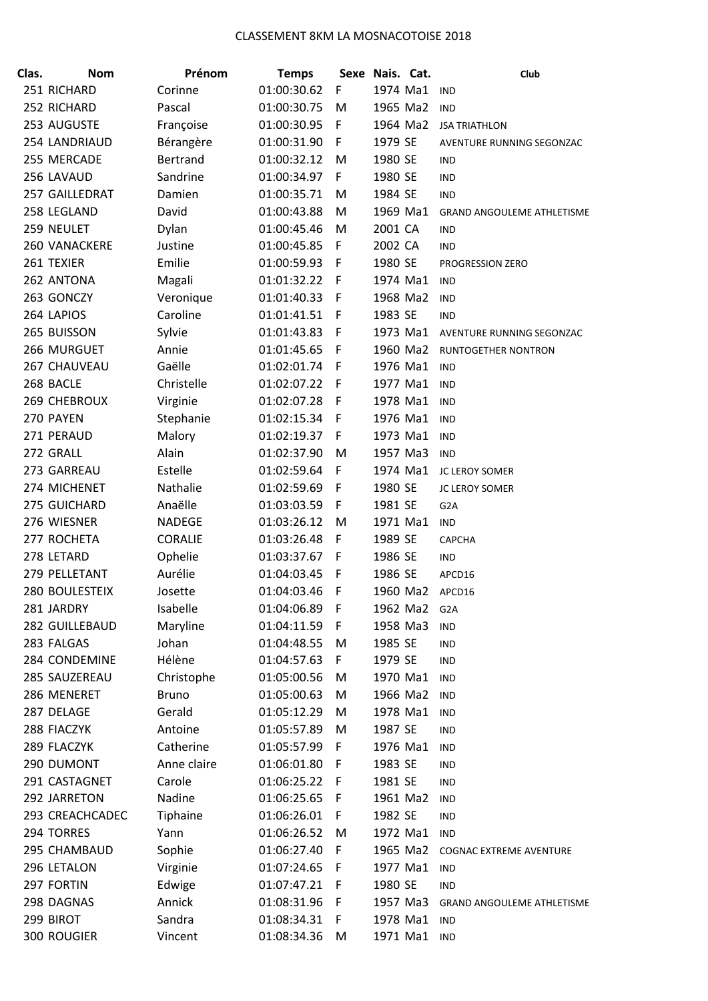| Clas. | <b>Nom</b>            | Prénom          | <b>Temps</b> |   | Sexe Nais. Cat. | Club                              |
|-------|-----------------------|-----------------|--------------|---|-----------------|-----------------------------------|
|       | 251 RICHARD           | Corinne         | 01:00:30.62  | F | 1974 Ma1        | <b>IND</b>                        |
|       | 252 RICHARD           | Pascal          | 01:00:30.75  | M | 1965 Ma2        | <b>IND</b>                        |
|       | 253 AUGUSTE           | Françoise       | 01:00:30.95  | F | 1964 Ma2        | <b>JSA TRIATHLON</b>              |
|       | 254 LANDRIAUD         | Bérangère       | 01:00:31.90  | F | 1979 SE         | AVENTURE RUNNING SEGONZAC         |
|       | 255 MERCADE           | <b>Bertrand</b> | 01:00:32.12  | M | 1980 SE         | IND                               |
|       | 256 LAVAUD            | Sandrine        | 01:00:34.97  | F | 1980 SE         | <b>IND</b>                        |
|       | 257 GAILLEDRAT        | Damien          | 01:00:35.71  | M | 1984 SE         | <b>IND</b>                        |
|       | 258 LEGLAND           | David           | 01:00:43.88  | M | 1969 Ma1        | <b>GRAND ANGOULEME ATHLETISME</b> |
|       | 259 NEULET            | Dylan           | 01:00:45.46  | M | 2001 CA         | <b>IND</b>                        |
|       | 260 VANACKERE         | Justine         | 01:00:45.85  | F | 2002 CA         | <b>IND</b>                        |
|       | 261 TEXIER            | Emilie          | 01:00:59.93  | F | 1980 SE         | PROGRESSION ZERO                  |
|       | 262 ANTONA            | Magali          | 01:01:32.22  | F | 1974 Ma1        | <b>IND</b>                        |
|       | 263 GONCZY            | Veronique       | 01:01:40.33  | F | 1968 Ma2        | <b>IND</b>                        |
|       | 264 LAPIOS            | Caroline        | 01:01:41.51  | F | 1983 SE         | <b>IND</b>                        |
|       | 265 BUISSON           | Sylvie          | 01:01:43.83  | F | 1973 Ma1        | AVENTURE RUNNING SEGONZAC         |
|       | 266 MURGUET           | Annie           | 01:01:45.65  | F | 1960 Ma2        | RUNTOGETHER NONTRON               |
|       | 267 CHAUVEAU          | Gaëlle          | 01:02:01.74  | F | 1976 Ma1        | <b>IND</b>                        |
|       | 268 BACLE             | Christelle      | 01:02:07.22  | F | 1977 Ma1        | <b>IND</b>                        |
|       | <b>269 CHEBROUX</b>   | Virginie        | 01:02:07.28  | F | 1978 Ma1        | <b>IND</b>                        |
|       | 270 PAYEN             | Stephanie       | 01:02:15.34  | F | 1976 Ma1        | <b>IND</b>                        |
|       | 271 PERAUD            | Malory          | 01:02:19.37  | F | 1973 Ma1        | <b>IND</b>                        |
|       | 272 GRALL             | Alain           | 01:02:37.90  | M | 1957 Ma3        | <b>IND</b>                        |
|       | 273 GARREAU           | Estelle         | 01:02:59.64  | F | 1974 Ma1        | JC LEROY SOMER                    |
|       | 274 MICHENET          | Nathalie        | 01:02:59.69  | F | 1980 SE         | <b>JC LEROY SOMER</b>             |
|       | 275 GUICHARD          | Anaëlle         | 01:03:03.59  | F | 1981 SE         | G <sub>2</sub> A                  |
|       | 276 WIESNER           | <b>NADEGE</b>   | 01:03:26.12  | M | 1971 Ma1        | <b>IND</b>                        |
|       | 277 ROCHETA           | CORALIE         | 01:03:26.48  | F | 1989 SE         | <b>CAPCHA</b>                     |
|       | 278 LETARD            | Ophelie         | 01:03:37.67  | F | 1986 SE         | <b>IND</b>                        |
|       | 279 PELLETANT         | Aurélie         | 01:04:03.45  | F | 1986 SE         | APCD16                            |
|       | <b>280 BOULESTEIX</b> | Josette         | 01:04:03.46  | F | 1960 Ma2        | APCD16                            |
|       | 281 JARDRY            | Isabelle        | 01:04:06.89  | F | 1962 Ma2        | G <sub>2</sub> A                  |
|       | 282 GUILLEBAUD        | Maryline        | 01:04:11.59  | F | 1958 Ma3        | <b>IND</b>                        |
|       | 283 FALGAS            | Johan           | 01:04:48.55  | M | 1985 SE         | <b>IND</b>                        |
|       | 284 CONDEMINE         | Hélène          | 01:04:57.63  | F | 1979 SE         | <b>IND</b>                        |
|       | 285 SAUZEREAU         | Christophe      | 01:05:00.56  | M | 1970 Ma1        | <b>IND</b>                        |
|       | 286 MENERET           | <b>Bruno</b>    | 01:05:00.63  | M | 1966 Ma2        | <b>IND</b>                        |
|       | 287 DELAGE            | Gerald          | 01:05:12.29  | M | 1978 Ma1        | <b>IND</b>                        |
|       | 288 FIACZYK           | Antoine         | 01:05:57.89  | M | 1987 SE         | <b>IND</b>                        |
|       | 289 FLACZYK           | Catherine       | 01:05:57.99  | F | 1976 Ma1        | <b>IND</b>                        |
|       | 290 DUMONT            | Anne claire     | 01:06:01.80  | F | 1983 SE         | <b>IND</b>                        |
|       | 291 CASTAGNET         | Carole          | 01:06:25.22  | F | 1981 SE         | <b>IND</b>                        |
|       | 292 JARRETON          | Nadine          | 01:06:25.65  | F | 1961 Ma2        | <b>IND</b>                        |
|       | 293 CREACHCADEC       | Tiphaine        | 01:06:26.01  | F | 1982 SE         | <b>IND</b>                        |
|       | 294 TORRES            | Yann            | 01:06:26.52  | M | 1972 Ma1        | <b>IND</b>                        |
|       | 295 CHAMBAUD          | Sophie          | 01:06:27.40  | F | 1965 Ma2        | <b>COGNAC EXTREME AVENTURE</b>    |
|       | 296 LETALON           | Virginie        | 01:07:24.65  | F | 1977 Ma1        | <b>IND</b>                        |
|       | 297 FORTIN            | Edwige          | 01:07:47.21  | F | 1980 SE         | <b>IND</b>                        |
|       | 298 DAGNAS            | Annick          | 01:08:31.96  | F | 1957 Ma3        | GRAND ANGOULEME ATHLETISME        |
|       | 299 BIROT             | Sandra          | 01:08:34.31  | F | 1978 Ma1        | <b>IND</b>                        |
|       | 300 ROUGIER           | Vincent         | 01:08:34.36  | M | 1971 Ma1        | <b>IND</b>                        |